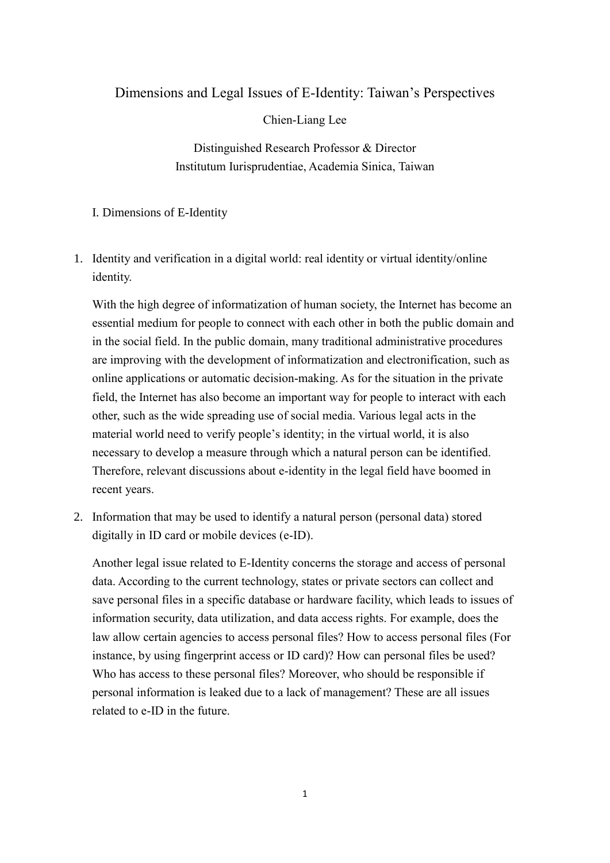## Dimensions and Legal Issues of E-Identity: Taiwan's Perspectives

Chien-Liang Lee

Distinguished Research Professor & Director Institutum Iurisprudentiae, Academia Sinica, Taiwan

## I. Dimensions of E-Identity

1. Identity and verification in a digital world: real identity or virtual identity/online identity.

With the high degree of informatization of human society, the Internet has become an essential medium for people to connect with each other in both the public domain and in the social field. In the public domain, many traditional administrative procedures are improving with the development of informatization and electronification, such as online applications or automatic decision-making. As for the situation in the private field, the Internet has also become an important way for people to interact with each other, such as the wide spreading use of social media. Various legal acts in the material world need to verify people's identity; in the virtual world, it is also necessary to develop a measure through which a natural person can be identified. Therefore, relevant discussions about e-identity in the legal field have boomed in recent years.

2. Information that may be used to identify a natural person (personal data) stored digitally in ID card or mobile devices (e-ID).

Another legal issue related to E-Identity concerns the storage and access of personal data. According to the current technology, states or private sectors can collect and save personal files in a specific database or hardware facility, which leads to issues of information security, data utilization, and data access rights. For example, does the law allow certain agencies to access personal files? How to access personal files (For instance, by using fingerprint access or ID card)? How can personal files be used? Who has access to these personal files? Moreover, who should be responsible if personal information is leaked due to a lack of management? These are all issues related to e-ID in the future.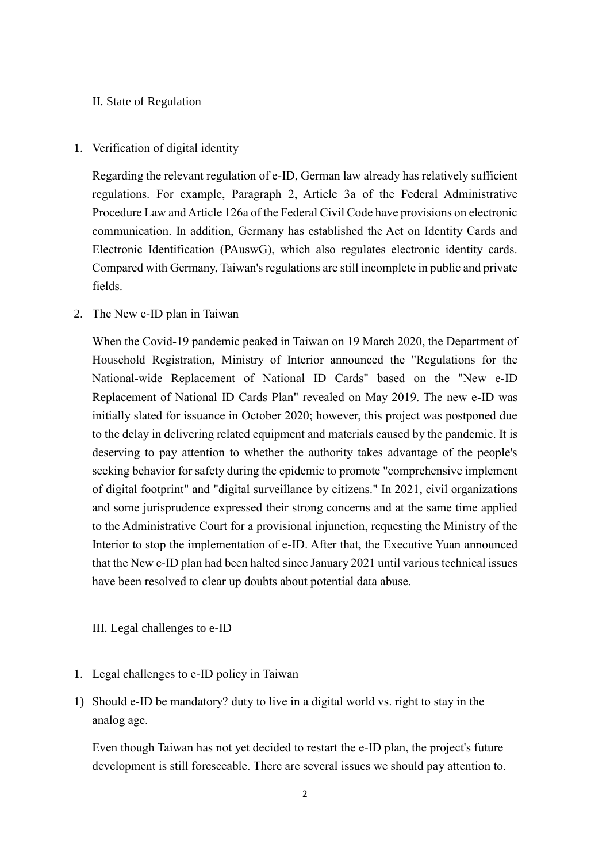## II. State of Regulation

1. Verification of digital identity

Regarding the relevant regulation of e-ID, German law already has relatively sufficient regulations. For example, Paragraph 2, Article 3a of the Federal Administrative Procedure Law and Article 126a of the Federal Civil Code have provisions on electronic communication. In addition, Germany has established the Act on Identity Cards and Electronic Identification (PAuswG), which also regulates electronic identity cards. Compared with Germany, Taiwan's regulations are still incomplete in public and private fields.

2. The New e-ID plan in Taiwan

When the Covid-19 pandemic peaked in Taiwan on 19 March 2020, the Department of Household Registration, Ministry of Interior announced the "Regulations for the National-wide Replacement of National ID Cards" based on the "New e-ID Replacement of National ID Cards Plan" revealed on May 2019. The new e-ID was initially slated for issuance in October 2020; however, this project was postponed due to the delay in delivering related equipment and materials caused by the pandemic. It is deserving to pay attention to whether the authority takes advantage of the people's seeking behavior for safety during the epidemic to promote "comprehensive implement of digital footprint" and "digital surveillance by citizens." In 2021, civil organizations and some jurisprudence expressed their strong concerns and at the same time applied to the Administrative Court for a provisional injunction, requesting the Ministry of the Interior to stop the implementation of e-ID. After that, the Executive Yuan announced that the New e-ID plan had been halted since January 2021 until various technical issues have been resolved to clear up doubts about potential data abuse.

III. Legal challenges to e-ID

- 1. Legal challenges to e-ID policy in Taiwan
- 1) Should e-ID be mandatory? duty to live in a digital world vs. right to stay in the analog age.

Even though Taiwan has not yet decided to restart the e-ID plan, the project's future development is still foreseeable. There are several issues we should pay attention to.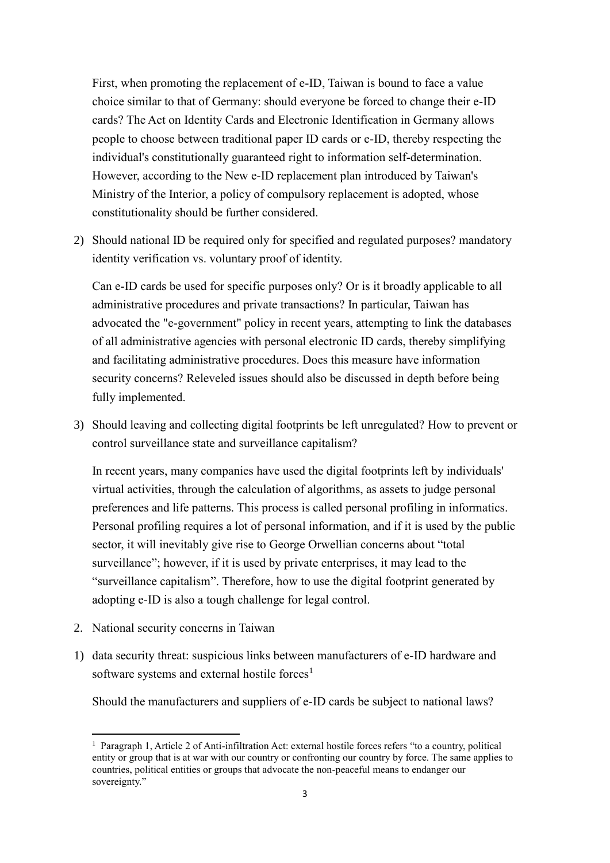First, when promoting the replacement of e-ID, Taiwan is bound to face a value choice similar to that of Germany: should everyone be forced to change their e-ID cards? The Act on Identity Cards and Electronic Identification in Germany allows people to choose between traditional paper ID cards or e-ID, thereby respecting the individual's constitutionally guaranteed right to information self-determination. However, according to the New e-ID replacement plan introduced by Taiwan's Ministry of the Interior, a policy of compulsory replacement is adopted, whose constitutionality should be further considered.

2) Should national ID be required only for specified and regulated purposes? mandatory identity verification vs. voluntary proof of identity.

Can e-ID cards be used for specific purposes only? Or is it broadly applicable to all administrative procedures and private transactions? In particular, Taiwan has advocated the "e-government" policy in recent years, attempting to link the databases of all administrative agencies with personal electronic ID cards, thereby simplifying and facilitating administrative procedures. Does this measure have information security concerns? Releveled issues should also be discussed in depth before being fully implemented.

3) Should leaving and collecting digital footprints be left unregulated? How to prevent or control surveillance state and surveillance capitalism?

In recent years, many companies have used the digital footprints left by individuals' virtual activities, through the calculation of algorithms, as assets to judge personal preferences and life patterns. This process is called personal profiling in informatics. Personal profiling requires a lot of personal information, and if it is used by the public sector, it will inevitably give rise to George Orwellian concerns about "total surveillance"; however, if it is used by private enterprises, it may lead to the "surveillance capitalism". Therefore, how to use the digital footprint generated by adopting e-ID is also a tough challenge for legal control.

2. National security concerns in Taiwan

-

1) data security threat: suspicious links between manufacturers of e-ID hardware and software systems and external hostile forces<sup>1</sup>

Should the manufacturers and suppliers of e-ID cards be subject to national laws?

<sup>&</sup>lt;sup>1</sup> Paragraph 1, Article 2 of Anti-infiltration Act: external hostile forces refers "to a country, political entity or group that is at war with our country or confronting our country by force. The same applies to countries, political entities or groups that advocate the non-peaceful means to endanger our sovereignty."